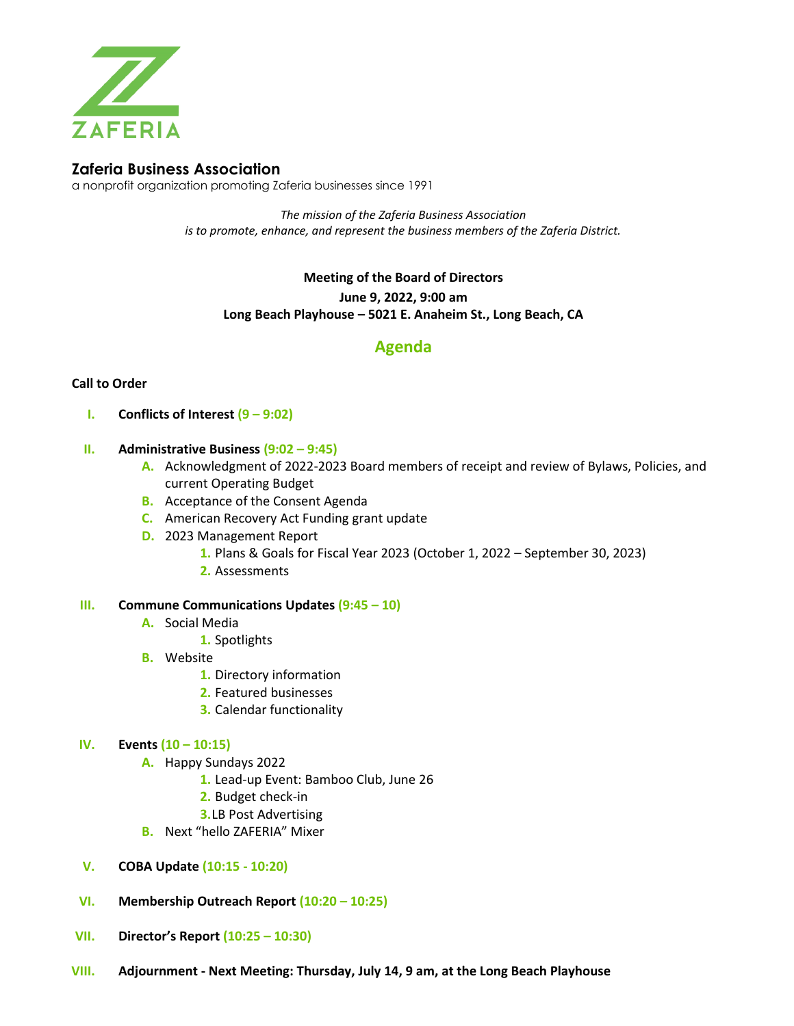

# **Zaferia Business Association**

a nonprofit organization promoting Zaferia businesses since 1991

*The mission of the Zaferia Business Association is to promote, enhance, and represent the business members of the Zaferia District.*

**Meeting of the Board of Directors**

**June 9, 2022, 9:00 am**

**Long Beach Playhouse – 5021 E. Anaheim St., Long Beach, CA**

# **Agenda**

# **Call to Order**

**I. Conflicts of Interest (9 – 9:02)**

# **II. Administrative Business (9:02 – 9:45)**

- **A.** Acknowledgment of 2022-2023 Board members of receipt and review of Bylaws, Policies, and current Operating Budget
- **B.** Acceptance of the Consent Agenda
- **C.** American Recovery Act Funding grant update
- **D.** 2023 Management Report
	- **1.** Plans & Goals for Fiscal Year 2023 (October 1, 2022 September 30, 2023)
	- **2.** Assessments

#### **III. Commune Communications Updates (9:45 – 10)**

- **A.** Social Media
	- **1.** Spotlights
- **B.** Website
	- **1.** Directory information
	- **2.** Featured businesses
	- **3.** Calendar functionality

#### **IV. Events (10 – 10:15)**

- **A.** Happy Sundays 2022
	- **1.** Lead-up Event: Bamboo Club, June 26
	- **2.** Budget check-in
	- **3.**LB Post Advertising
- **B.** Next "hello ZAFERIA" Mixer
- **V. COBA Update (10:15 - 10:20)**
- **VI. Membership Outreach Report (10:20 – 10:25)**
- **VII. Director's Report (10:25 – 10:30)**
- **VIII. Adjournment - Next Meeting: Thursday, July 14, 9 am, at the Long Beach Playhouse**